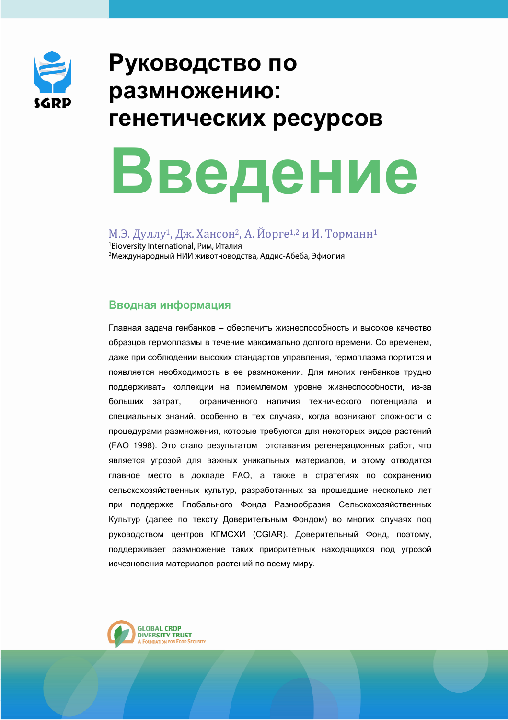

# Руководство по размножению: генетических ресурсов

# Введение

М.Э. Дуллу<sup>1</sup>, Дж. Хансон<sup>2</sup>, А. Йорге<sup>1,2</sup> и И. Торманн<sup>1</sup> <sup>1</sup>Bioversity International, Рим, Италия <sup>2</sup> Международный НИИ животноводства, Аддис-Абеба, Эфиопия

# Вводная информация

Главная задача генбанков - обеспечить жизнеспособность и высокое качество образцов гермоплазмы в течение максимально долгого времени. Со временем, даже при соблюдении высоких стандартов управления, гермоплазма портится и появляется необходимость в ее размножении. Для многих генбанков трудно поддерживать коллекции на приемлемом уровне жизнеспособности, из-за больших затрат, ограниченного наличия технического потенциала и специальных знаний, особенно в тех случаях, когда возникают сложности с процедурами размножения, которые требуются для некоторых видов растений (FAO 1998). Это стало результатом отставания регенерационных работ, что является угрозой для важных уникальных материалов, и этому отводится главное место в докладе FAO, а также в стратегиях по сохранению сельскохозяйственных культур, разработанных за прошедшие несколько лет при поддержке Глобального Фонда Разнообразия Сельскохозяйственных Культур (далее по тексту Доверительным Фондом) во многих случаях под руководством центров КГМСХИ (CGIAR). Доверительный Фонд, поэтому, поддерживает размножение таких приоритетных находящихся под угрозой исчезновения материалов растений по всему миру.

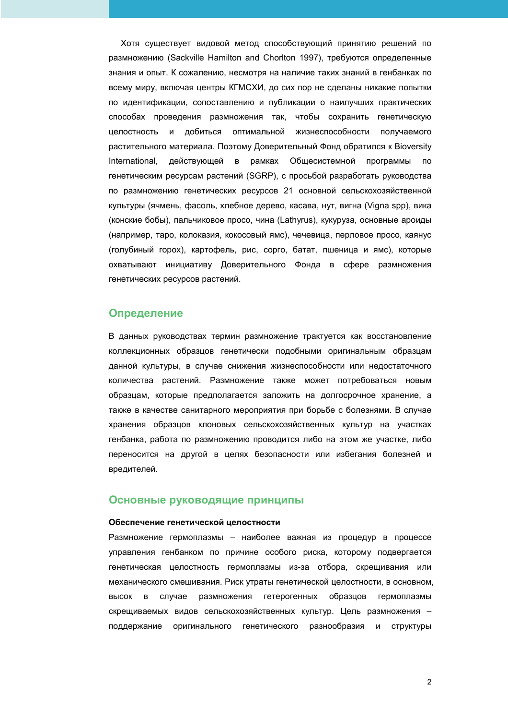Хотя существует видовой метод способствующий принятию решений по размножению (Sackville Hamilton and Chorlton 1997), требуются определенные знания и опыт. К сожалению, несмотря на наличие таких знаний в генбанках по всему миру, включая центры КГМСХИ, до сих пор не сделаны никакие попытки по идентификации, сопоставлению и публикации о наилучших практических способах проведения размножения так, чтобы сохранить генетическую целостность и добиться оптимальной жизнеспособности получаемого растительного материала. Поэтому Доверительный Фонд обратился к Bioversity International, действующей в рамках Общесистемной программы  $\overline{a}$ генетическим ресурсам растений (SGRP), с просьбой разработать руководства по размножению генетических ресурсов 21 основной сельскохозяйственной культуры (ячмень, фасоль, хлебное дерево, касава, нут, вигна (Vigna spp), вика (конские бобы), пальчиковое просо, чина (Lathyrus), кукуруза, основные ароиды (например, таро, колоказия, кокосовый ямс), чечевица, перловое просо, каянус (голубиный горох), картофель, рис, сорго, батат, пшеница и ямс), которые охватывают инициативу Доверительного Фонда в сфере размножения генетических ресурсов растений.

## Определение

В данных руководствах термин размножение трактуется как восстановление коллекционных образцов генетически подобными оригинальным образцам данной культуры, в случае снижения жизнеспособности или недостаточного количества растений. Размножение также может потребоваться новым образцам, которые предполагается заложить на долгосрочное хранение, а также в качестве санитарного мероприятия при борьбе с болезнями. В случае хранения образцов клоновых сельскохозяйственных культур на участках генбанка, работа по размножению проводится либо на этом же участке, либо переносится на другой в целях безопасности или избегания болезней и вредителей.

### Основные руководящие принципы

#### Обеспечение генетической целостности

Размножение гермоплазмы - наиболее важная из процедур в процессе управления генбанком по причине особого риска, которому подвергается генетическая целостность гермоплазмы из-за отбора, скрещивания или механического смешивания. Риск утраты генетической целостности, в основном, случае размножения гетерогенных образцов BbICOK B гермоплазмы скрещиваемых видов сельскохозяйственных культур. Цель размножения поддержание оригинального генетического разнообразия И СТРУКТУРЫ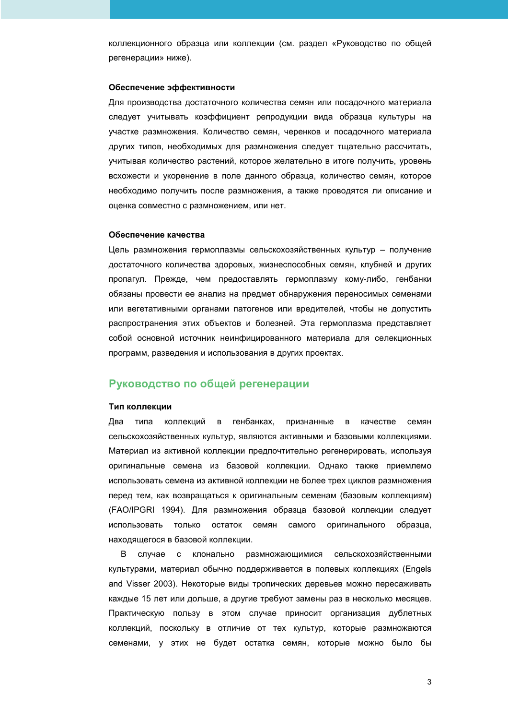коллекционного образца или коллекции (см. раздел «Руководство по общей регенерации» ниже).

#### Обеспечение эффективности

Для производства достаточного количества семян или посадочного материала следует учитывать коэффициент репродукции вида образца культуры на участке размножения. Количество семян, черенков и посадочного материала других типов, необходимых для размножения следует тщательно рассчитать, учитывая количество растений, которое желательно в итоге получить, уровень всхожести и укоренение в поле данного образца, количество семян, которое необходимо получить после размножения, а также проводятся ли описание и оценка совместно с размножением, или нет.

#### Обеспечение качества

Цель размножения гермоплазмы сельскохозяйственных культур - получение достаточного количества здоровых, жизнеспособных семян, клубней и других пропагул. Прежде, чем предоставлять гермоплазму кому-либо, генбанки обязаны провести ее анализ на предмет обнаружения переносимых семенами или вегетативными органами патогенов или вредителей, чтобы не допустить распространения этих объектов и болезней. Эта гермоплазма представляет собой основной источник неинфицированного материала для селекционных программ, разведения и использования в других проектах.

# Руководство по общей регенерации

#### Тип коллекции

коллекций в генбанках, Два типа признанные в качестве семян сельскохозяйственных культур, являются активными и базовыми коллекциями. Материал из активной коллекции предпочтительно регенерировать, используя оригинальные семена из базовой коллекции. Однако также приемлемо использовать семена из активной коллекции не более трех циклов размножения перед тем, как возвращаться к оригинальным семенам (базовым коллекциям) (FAO/IPGRI 1994). Для размножения образца базовой коллекции следует использовать только остаток семян самого оригинального образца, находящегося в базовой коллекции.

клонально размножающимися сельскохозяйственными B. случае  $\mathbf{C}$ культурами, материал обычно поддерживается в полевых коллекциях (Engels and Visser 2003). Некоторые виды тропических деревьев можно пересаживать каждые 15 лет или дольше, а другие требуют замены раз в несколько месяцев. Практическую пользу в этом случае приносит организация дублетных коллекций, поскольку в отличие от тех культур, которые размножаются семенами, у этих не будет остатка семян, которые можно было бы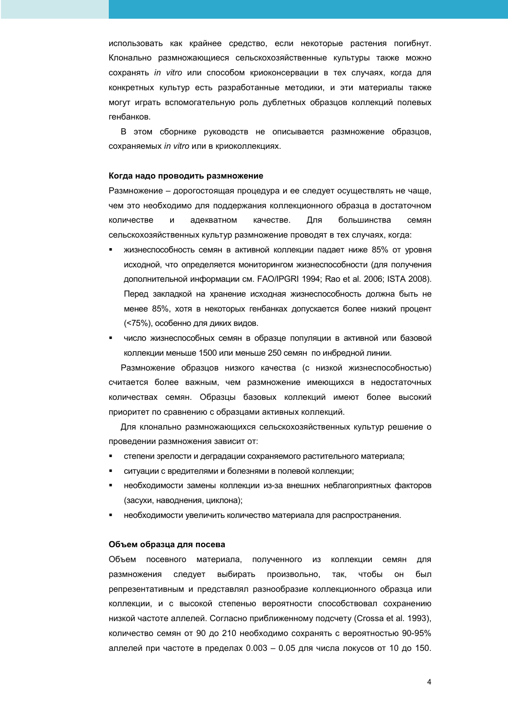использовать как крайнее средство, если некоторые растения погибнут. Клонально размножающиеся сельскохозяйственные культуры также можно сохранять *in vitro* или способом криоконсервации в тех случаях, когда для конкретных культур есть разработанные методики, и эти материалы также могут играть вспомогательную роль дублетных образцов коллекций полевых генбанков.

В этом сборнике руководств не описывается размножение образцов, сохраняемых *in vitro* или в криоколлекциях.

#### Когда надо проводить размножение

Размножение – дорогостоящая процедура и ее следует осуществлять не чаще, чем это необходимо для поддержания коллекционного образца в достаточном количестве И адекватном качестве. Для большинства семян сельскохозяйственных культур размножение проводят в тех случаях, когда:

- жизнеспособность семян в активной коллекции падает ниже 85% от уровня исходной, что определяется мониторингом жизнеспособности (для получения дополнительной информации см. FAO/IPGRI 1994; Rao et al. 2006; ISTA 2008). Перед закладкой на хранение исходная жизнеспособность должна быть не менее 85%, хотя в некоторых генбанках допускается более низкий процент (<75%), особенно для диких видов.
- число жизнеспособных семян в образце популяции в активной или базовой коллекции меньше 1500 или меньше 250 семян по инбредной линии.

Размножение образцов низкого качества (с низкой жизнеспособностью) считается более важным, чем размножение имеющихся в недостаточных количествах семян. Образцы базовых коллекций имеют более высокий приоритет по сравнению с образцами активных коллекций.

Для клонально размножающихся сельскохозяйственных культур решение о проведении размножения зависит от:

- степени зрелости и деградации сохраняемого растительного материала;
- ситуации с вредителями и болезнями в полевой коллекции;
- необходимости замены коллекции из-за внешних неблагоприятных факторов (засухи, наводнения, циклона);
- необходимости увеличить количество материала для распространения.

#### Объем образца для посева

Объем посевного материала, полученного из коллекции семян для размножения следует выбирать произвольно, так чтобы OH. был репрезентативным и представлял разнообразие коллекционного образца или коллекции, и с высокой степенью вероятности способствовал сохранению низкой частоте аллелей. Согласно приближенному подсчету (Crossa et al. 1993), количество семян от 90 до 210 необходимо сохранять с вероятностью 90-95% аллелей при частоте в пределах 0.003 - 0.05 для числа локусов от 10 до 150.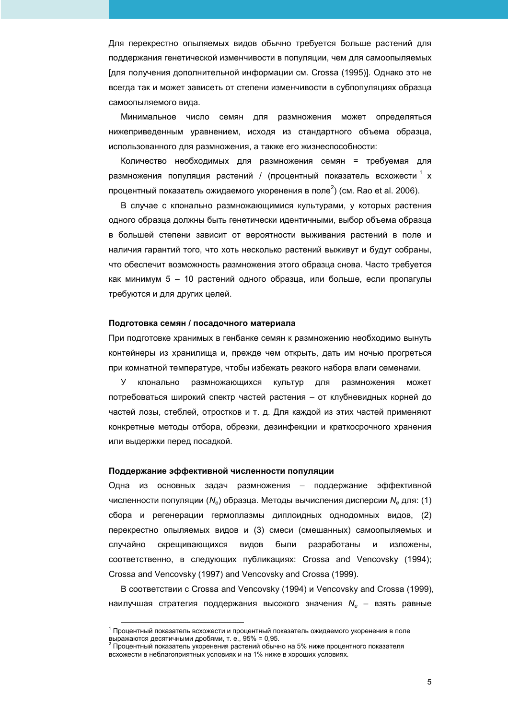Для перекрестно опыляемых видов обычно требуется больше растений для поддержания генетической изменчивости в популяции, чем для самоопыляемых [для получения дополнительной информации см. Crossa (1995)]. Однако это не всегда так и может зависеть от степени изменчивости в субпопуляциях образца самоопыляемого вида.

Минимальное число семян для размножения может определяться нижеприведенным уравнением, исходя из стандартного объема образца, использованного для размножения, а также его жизнеспособности:

Количество необходимых для размножения семян = требуемая для размножения популяция растений / (процентный показатель всхожести<sup>1</sup>х процентный показатель ожидаемого укоренения в поле<sup>2</sup>) (см. Rao et al. 2006).

В случае с клонально размножающимися культурами, у которых растения одного образца должны быть генетически идентичными, выбор объема образца в большей степени зависит от вероятности выживания растений в поле и наличия гарантий того, что хоть несколько растений выживут и будут собраны, что обеспечит возможность размножения этого образца снова. Часто требуется как минимум 5 - 10 растений одного образца, или больше, если пропагулы требуются и для других целей.

#### Подготовка семян / посадочного материала

При подготовке хранимых в генбанке семян к размножению необходимо вынуть контейнеры из хранилища и, прежде чем открыть, дать им ночью прогреться при комнатной температуре, чтобы избежать резкого набора влаги семенами.

культур  $\vee$ клонально размножающихся ДЛЯ размножения может потребоваться широкий спектр частей растения - от клубневидных корней до частей лозы, стеблей, отростков и т. д. Для каждой из этих частей применяют конкретные методы отбора, обрезки, дезинфекции и краткосрочного хранения или выдержки перед посадкой.

#### Поддержание эффективной численности популяции

Одна из основных задач размножения - поддержание эффективной численности популяции (N<sub>e</sub>) образца. Методы вычисления дисперсии N<sub>e</sub> для: (1) сбора и регенерации гермоплазмы диплоидных однодомных видов, (2) перекрестно опыляемых видов и (3) смеси (смешанных) самоопыляемых и видов разработаны случайно скрещивающихся были И изложены, соответственно, в следующих публикациях: Crossa and Vencovsky (1994); Crossa and Vencovsky (1997) and Vencovsky and Crossa (1999).

В соответствии с Crossa and Vencovsky (1994) и Vencovsky and Crossa (1999), наилучшая стратегия поддержания высокого значения  $N_e$  - взять равные

<sup>&</sup>lt;sup>1</sup> Процентный показатель всхожести и процентный показатель ожидаемого укоренения в поле выражаются десятичными дробями, т. е., 95% = 0,95.<br><sup>2</sup> Процентный показатель укоренения растений обычно на 5% ниже процентного показателя

всхожести в неблагоприятных условиях и на 1% ниже в хороших условиях.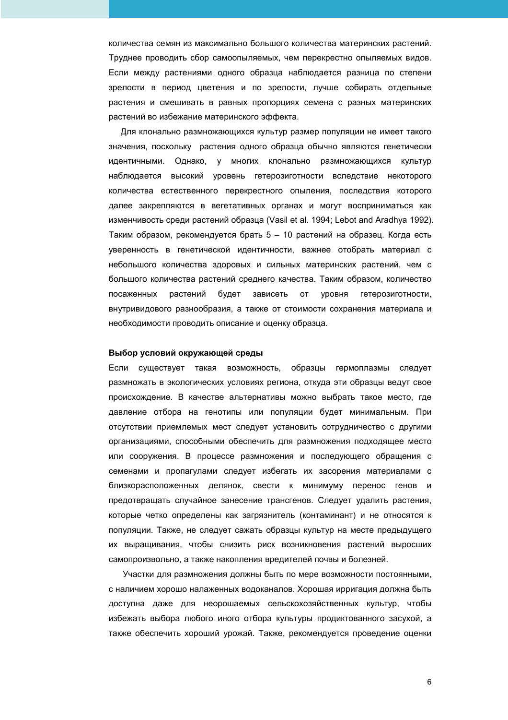количества семян из максимально большого количества материнских растений. Труднее проводить сбор самоопыляемых, чем перекрестно опыляемых видов. Если между растениями одного образца наблюдается разница по степени зрелости в период цветения и по зрелости, лучше собирать отдельные растения и смешивать в равных пропорциях семена с разных материнских растений во избежание материнского эффекта.

Для клонально размножающихся культур размер популяции не имеет такого значения, поскольку растения одного образца обычно являются генетически идентичными. Однако, у многих клонально размножающихся культур наблюдается высокий уровень гетерозиготности вследствие некоторого количества естественного перекрестного опыления, последствия которого далее закрепляются в вегетативных органах и могут восприниматься как изменчивость среди растений образца (Vasil et al. 1994; Lebot and Aradhya 1992). Таким образом, рекомендуется брать 5 - 10 растений на образец. Когда есть уверенность в генетической идентичности, важнее отобрать материал с небольшого количества здоровых и сильных материнских растений, чем с большого количества растений среднего качества. Таким образом, количество посаженных растений будет зависеть OT уровня гетерозиготности, внутривидового разнообразия, а также от стоимости сохранения материала и необходимости проводить описание и оценку образца.

#### Выбор условий окружающей среды

Если существует такая возможность, образцы гермоплазмы следует размножать в экологических условиях региона, откуда эти образцы ведут свое происхождение. В качестве альтернативы можно выбрать такое место, где давление отбора на генотипы или популяции будет минимальным. При отсутствии приемлемых мест следует установить сотрудничество с другими организациями, способными обеспечить для размножения подходящее место или сооружения. В процессе размножения и последующего обращения с семенами и пропагулами следует избегать их засорения материалами с близкорасположенных делянок, свести к минимуму перенос генов и предотвращать случайное занесение трансгенов. Следует удалить растения, которые четко определены как загрязнитель (контаминант) и не относятся к популяции. Также, не следует сажать образцы культур на месте предыдущего их выращивания, чтобы снизить риск возникновения растений выросших самопроизвольно, а также накопления вредителей почвы и болезней.

Участки для размножения должны быть по мере возможности постоянными, с наличием хорошо налаженных водоканалов. Хорошая ирригация должна быть доступна даже для неорошаемых сельскохозяйственных культур, чтобы избежать выбора любого иного отбора культуры продиктованного засухой, а также обеспечить хороший урожай. Также, рекомендуется проведение оценки

6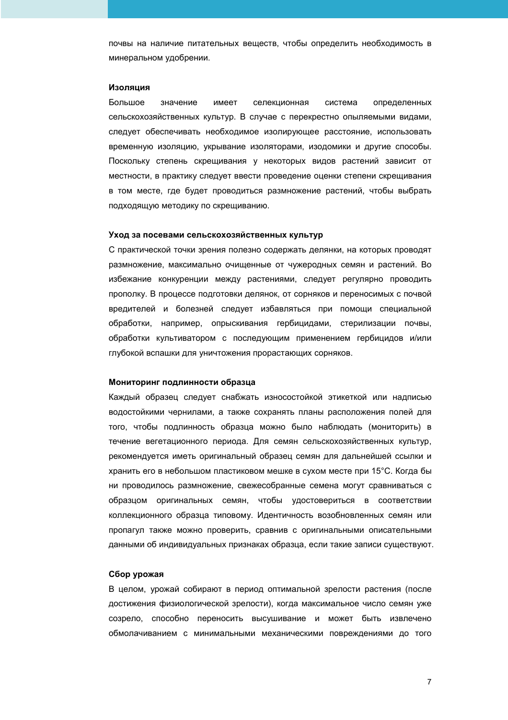почвы на наличие питательных веществ, чтобы определить необходимость в минеральном удобрении.

#### Изоляция

Большое значение имеет селекционная система определенных сельскохозяйственных культур. В случае с перекрестно опыляемыми видами, следует обеспечивать необходимое изолирующее расстояние, использовать временную изоляцию, укрывание изоляторами, изодомики и другие способы. Поскольку степень скрещивания у некоторых видов растений зависит от местности, в практику следует ввести проведение оценки степени скрещивания в том месте, где будет проводиться размножение растений, чтобы выбрать подходящую методику по скрещиванию.

#### Уход за посевами сельскохозяйственных культур

С практической точки зрения полезно содержать делянки, на которых проводят размножение, максимально очищенные от чужеродных семян и растений. Во избежание конкуренции между растениями, следует регулярно проводить прополку. В процессе подготовки делянок, от сорняков и переносимых с почвой вредителей и болезней следует избавляться при помощи специальной обработки, например, опрыскивания гербицидами, стерилизации почвы, обработки культиватором с последующим применением гербицидов и/или глубокой вспашки для уничтожения прорастающих сорняков.

#### Мониторинг подлинности образца

Каждый образец следует снабжать износостойкой этикеткой или надписью водостойкими чернилами, а также сохранять планы расположения полей для того, чтобы подлинность образца можно было наблюдать (мониторить) в течение вегетационного периода. Для семян сельскохозяйственных культур, рекомендуется иметь оригинальный образец семян для дальнейшей ссылки и хранить его в небольшом пластиковом мешке в сухом месте при 15°С. Когда бы ни проводилось размножение, свежесобранные семена могут сравниваться с образцом оригинальных семян, чтобы удостовериться в соответствии коллекционного образца типовому. Идентичность возобновленных семян или пропагул также можно проверить, сравнив с оригинальными описательными данными об индивидуальных признаках образца, если такие записи существуют.

#### Сбор урожая

В целом, урожай собирают в период оптимальной зрелости растения (после достижения физиологической зрелости), когда максимальное число семян уже созрело, способно переносить высушивание и может быть извлечено обмолачиванием с минимальными механическими повреждениями до того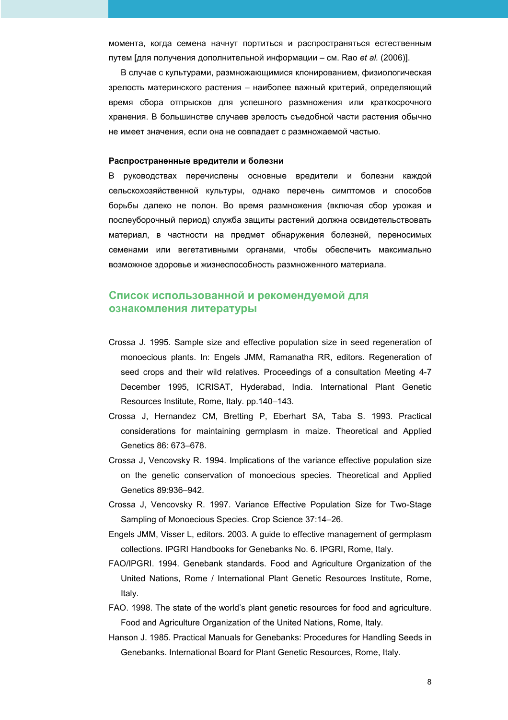момента, когда семена начнут портиться и распространяться естественным путем [для получения дополнительной информации – см. Rao *et al.* (2006)].

В случае с культурами, размножающимися клонированием, физиологическая зрелость материнского растения – наиболее важный критерий, определяющий время сбора отпрысков для успешного размножения или краткосрочного хранения. В большинстве случаев зрелость съедобной части растения обычно не имеет значения, если она не совпадает с размножаемой частью.

#### Распространенные вредители и болезни

В руководствах перечислены основные вредители и болезни каждой сельскохозяйственной культуры, однако перечень симптомов и способов борьбы далеко не полон. Во время размножения (включая сбор урожая и послеуборочный период) служба защиты растений должна освидетельствовать материал, в частности на предмет обнаружения болезней, переносимых семенами или вегетативными органами, чтобы обеспечить максимально возможное здоровье и жизнеспособность размноженного материала.

# Список использованной и рекомендуемой для  $\alpha$ знакомления литературы

- Crossa J. 1995. Sample size and effective population size in seed regeneration of monoecious plants. In: Engels JMM, Ramanatha RR, editors. Regeneration of seed crops and their wild relatives. Proceedings of a consultation Meeting 4-7 December 1995, ICRISAT, Hyderabad, India. International Plant Genetic Resources Institute, Rome, Italy. pp.140–143.
- Crossa J, Hernandez CM, Bretting P, Eberhart SA, Taba S. 1993. Practical considerations for maintaining germplasm in maize. Theoretical and Applied Genetics 86: 673–678.
- Crossa J, Vencovsky R. 1994. Implications of the variance effective population size on the genetic conservation of monoecious species. Theoretical and Applied Genetics 89:936–942.
- Crossa J, Vencovsky R. 1997. Variance Effective Population Size for Two-Stage Sampling of Monoecious Species. Crop Science 37:14–26.
- Engels JMM, Visser L, editors. 2003. A guide to effective management of germplasm collections. IPGRI Handbooks for Genebanks No. 6. IPGRI, Rome, Italy.
- FAO/IPGRI. 1994. Genebank standards. Food and Agriculture Organization of the United Nations, Rome / International Plant Genetic Resources Institute, Rome, Italy.
- FAO. 1998. The state of the world's plant genetic resources for food and agriculture. Food and Agriculture Organization of the United Nations, Rome, Italy.
- Hanson J. 1985. Practical Manuals for Genebanks: Procedures for Handling Seeds in Genebanks. International Board for Plant Genetic Resources, Rome, Italy.